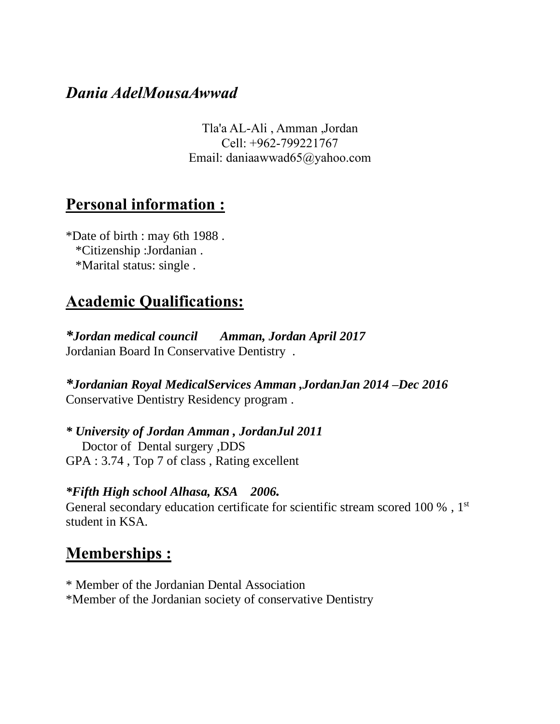### *Dania AdelMousaAwwad*

Tla'a AL-Ali , Amman ,Jordan Cell: +962-799221767 Email: daniaawwad65@yahoo.com

### **Personal information :**

\*Date of birth : may 6th 1988 . \*Citizenship :Jordanian . \*Marital status: single .

# **Academic Qualifications:**

*\*Jordan medical council Amman, Jordan April 2017* Jordanian Board In Conservative Dentistry .

*\*Jordanian Royal MedicalServices Amman ,JordanJan 2014 –Dec 2016*  Conservative Dentistry Residency program .

*\* University of Jordan Amman , JordanJul 2011* Doctor of Dental surgery ,DDS GPA : 3.74 , Top 7 of class , Rating excellent

#### *\*Fifth High school Alhasa, KSA 2006.*

General secondary education certificate for scientific stream scored 100 %, 1<sup>st</sup> student in KSA.

### **Memberships :**

\* Member of the Jordanian Dental Association \*Member of the Jordanian society of conservative Dentistry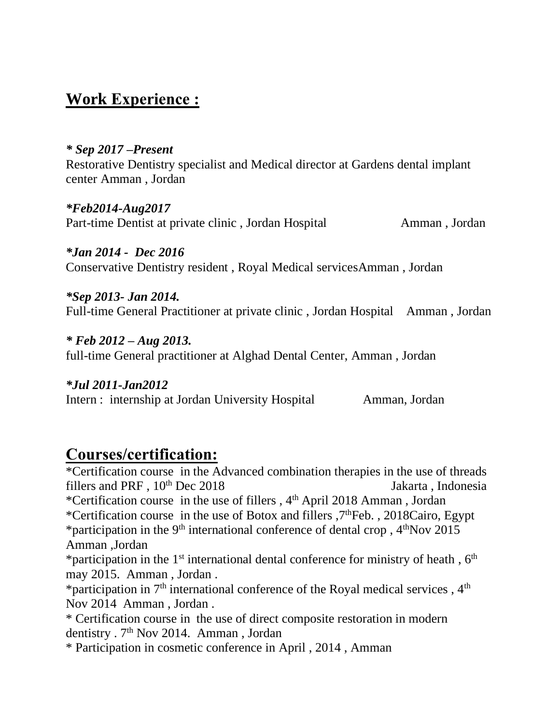# **Work Experience :**

#### *\* Sep 2017 –Present*

Restorative Dentistry specialist and Medical director at Gardens dental implant center Amman , Jordan

*\*Feb2014-Aug2017* Part-time Dentist at private clinic, Jordan Hospital Amman, Jordan

#### *\*Jan 2014 - Dec 2016*  Conservative Dentistry resident , Royal Medical servicesAmman , Jordan

*\*Sep 2013- Jan 2014.* Full-time General Practitioner at private clinic , Jordan Hospital Amman , Jordan

*\* Feb 2012 – Aug 2013.* full-time General practitioner at Alghad Dental Center, Amman , Jordan

*\*Jul 2011-Jan2012* Intern : internship at Jordan University Hospital Amman, Jordan

### **Courses/certification:**

\*Certification course in the Advanced combination therapies in the use of threads fillers and PRF,  $10^{th}$  Dec 2018 Jakarta, Indonesia \*Certification course in the use of fillers,  $4<sup>th</sup>$  April 2018 Amman, Jordan \*Certification course in the use of Botox and fillers ,7thFeb. , 2018Cairo, Egypt \*participation in the 9<sup>th</sup> international conference of dental crop,  $4<sup>th</sup>$ Nov 2015 Amman ,Jordan \*participation in the  $1<sup>st</sup>$  international dental conference for ministry of heath,  $6<sup>th</sup>$ may 2015. Amman , Jordan . \*participation in  $7<sup>th</sup>$  international conference of the Royal medical services,  $4<sup>th</sup>$ Nov 2014 Amman , Jordan .

\* Certification course in the use of direct composite restoration in modern dentistry . 7<sup>th</sup> Nov 2014. Amman, Jordan

\* Participation in cosmetic conference in April , 2014 , Amman